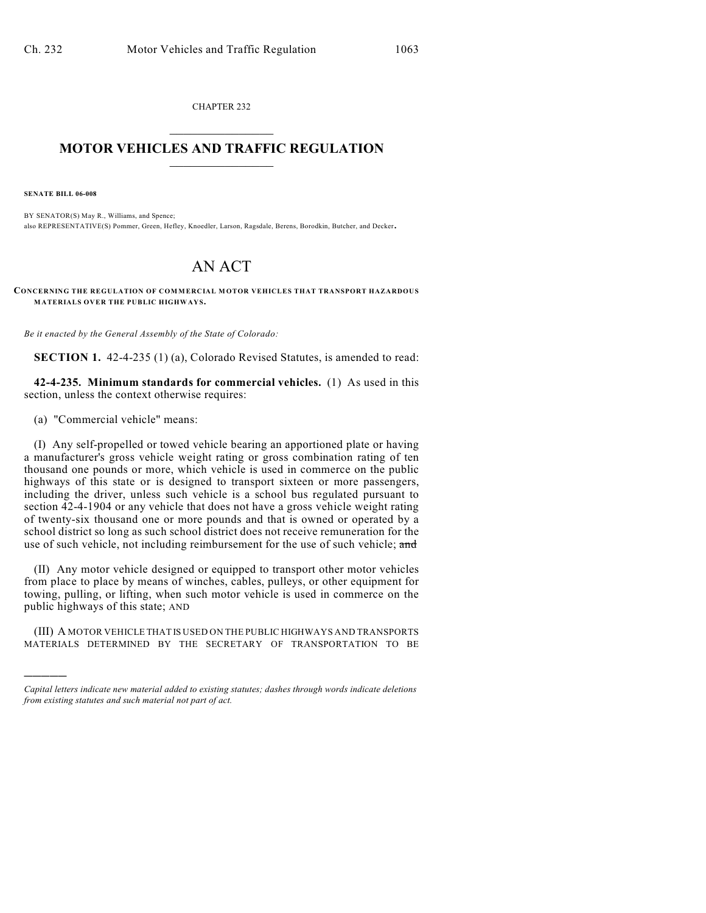CHAPTER 232  $\overline{\phantom{a}}$  . The set of the set of the set of the set of the set of the set of the set of the set of the set of the set of the set of the set of the set of the set of the set of the set of the set of the set of the set o

## **MOTOR VEHICLES AND TRAFFIC REGULATION**  $\frac{1}{2}$  ,  $\frac{1}{2}$  ,  $\frac{1}{2}$  ,  $\frac{1}{2}$  ,  $\frac{1}{2}$  ,  $\frac{1}{2}$  ,  $\frac{1}{2}$  ,  $\frac{1}{2}$

**SENATE BILL 06-008**

)))))

BY SENATOR(S) May R., Williams, and Spence; also REPRESENTATIVE(S) Pommer, Green, Hefley, Knoedler, Larson, Ragsdale, Berens, Borodkin, Butcher, and Decker.

## AN ACT

**CONCERNING THE REGULATION OF COM MERCIAL M OTOR VEHICLES THAT TRANSPORT HAZARDOUS MATERIALS OVER THE PUBLIC HIGHWAYS.**

*Be it enacted by the General Assembly of the State of Colorado:*

**SECTION 1.** 42-4-235 (1) (a), Colorado Revised Statutes, is amended to read:

**42-4-235. Minimum standards for commercial vehicles.** (1) As used in this section, unless the context otherwise requires:

(a) "Commercial vehicle" means:

(I) Any self-propelled or towed vehicle bearing an apportioned plate or having a manufacturer's gross vehicle weight rating or gross combination rating of ten thousand one pounds or more, which vehicle is used in commerce on the public highways of this state or is designed to transport sixteen or more passengers, including the driver, unless such vehicle is a school bus regulated pursuant to section 42-4-1904 or any vehicle that does not have a gross vehicle weight rating of twenty-six thousand one or more pounds and that is owned or operated by a school district so long as such school district does not receive remuneration for the use of such vehicle, not including reimbursement for the use of such vehicle; and

(II) Any motor vehicle designed or equipped to transport other motor vehicles from place to place by means of winches, cables, pulleys, or other equipment for towing, pulling, or lifting, when such motor vehicle is used in commerce on the public highways of this state; AND

(III) A MOTOR VEHICLE THAT IS USED ON THE PUBLIC HIGHWAYS AND TRANSPORTS MATERIALS DETERMINED BY THE SECRETARY OF TRANSPORTATION TO BE

*Capital letters indicate new material added to existing statutes; dashes through words indicate deletions from existing statutes and such material not part of act.*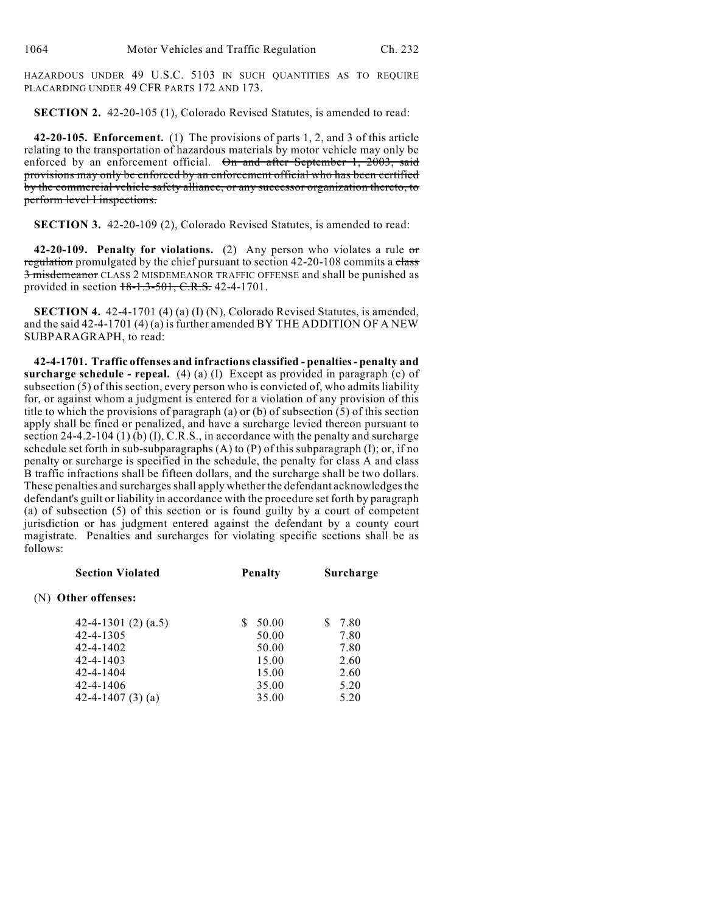HAZARDOUS UNDER 49 U.S.C. 5103 IN SUCH QUANTITIES AS TO REQUIRE PLACARDING UNDER 49 CFR PARTS 172 AND 173.

**SECTION 2.** 42-20-105 (1), Colorado Revised Statutes, is amended to read:

**42-20-105. Enforcement.** (1) The provisions of parts 1, 2, and 3 of this article relating to the transportation of hazardous materials by motor vehicle may only be enforced by an enforcement official. On and after September 1, 2003, said provisions may only be enforced by an enforcement official who has been certified by the commercial vehicle safety alliance, or any successor organization thereto, to perform level I inspections.

**SECTION 3.** 42-20-109 (2), Colorado Revised Statutes, is amended to read:

**42-20-109. Penalty for violations.** (2) Any person who violates a rule or regulation promulgated by the chief pursuant to section  $42-20-108$  commits a class 3 misdemeanor CLASS 2 MISDEMEANOR TRAFFIC OFFENSE and shall be punished as provided in section 18-1.3-501, C.R.S. 42-4-1701.

**SECTION 4.** 42-4-1701 (4) (a) (I) (N), Colorado Revised Statutes, is amended, and the said 42-4-1701 (4) (a) is further amended BY THE ADDITION OF A NEW SUBPARAGRAPH, to read:

**42-4-1701. Traffic offenses and infractions classified - penalties - penalty and surcharge schedule - repeal.** (4) (a) (I) Except as provided in paragraph (c) of subsection (5) of this section, every person who is convicted of, who admits liability for, or against whom a judgment is entered for a violation of any provision of this title to which the provisions of paragraph (a) or (b) of subsection (5) of this section apply shall be fined or penalized, and have a surcharge levied thereon pursuant to section 24-4.2-104 (1)  $(b)$  (I), C.R.S., in accordance with the penalty and surcharge schedule set forth in sub-subparagraphs (A) to (P) of this subparagraph (I); or, if no penalty or surcharge is specified in the schedule, the penalty for class A and class B traffic infractions shall be fifteen dollars, and the surcharge shall be two dollars. These penalties and surcharges shall apply whether the defendant acknowledges the defendant's guilt or liability in accordance with the procedure set forth by paragraph (a) of subsection (5) of this section or is found guilty by a court of competent jurisdiction or has judgment entered against the defendant by a county court magistrate. Penalties and surcharges for violating specific sections shall be as follows:

| <b>Section Violated</b> | <b>Penalty</b> | Surcharge |
|-------------------------|----------------|-----------|
| Other offenses:<br>(N)  |                |           |
| 42-4-1301 $(2)$ $(a.5)$ | 50.00          | 7.80      |
| 42-4-1305               | 50.00          | 7.80      |
| 42-4-1402               | 50.00          | 7.80      |
| 42-4-1403               | 15.00          | 2.60      |
| 42-4-1404               | 15.00          | 2.60      |
| 42-4-1406               | 35.00          | 5.20      |
| 42-4-1407 $(3)$ $(a)$   | 35.00          | 5.20      |